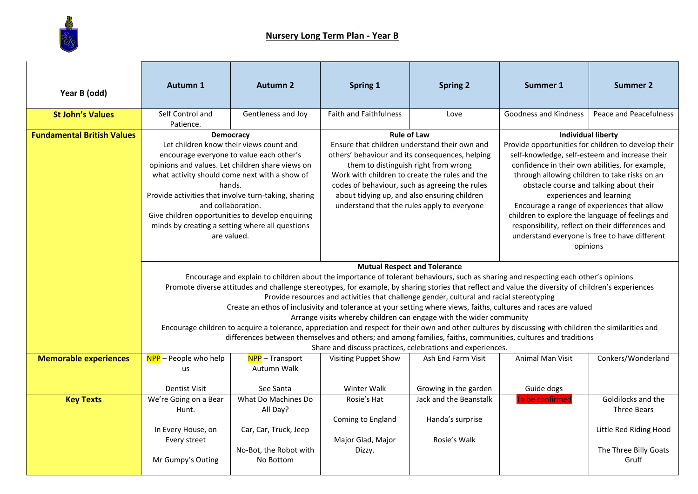

| Year B (odd)                      | <b>Autumn 1</b>                                                                                                                                                                                                                                                                                                                                                                                                                                                                                                                                                                                                                                                                                                                                                                                                                                                                                                                                               | <b>Autumn 2</b>                                                                                 | <b>Spring 1</b>                                                                                                                                                                                                                                                                                                                                                   | <b>Spring 2</b>                                            | <b>Summer 1</b>                                                                                                                                                                                                                                                                                                                                                                                                                                                                                                                   | <b>Summer 2</b>                                                                                      |
|-----------------------------------|---------------------------------------------------------------------------------------------------------------------------------------------------------------------------------------------------------------------------------------------------------------------------------------------------------------------------------------------------------------------------------------------------------------------------------------------------------------------------------------------------------------------------------------------------------------------------------------------------------------------------------------------------------------------------------------------------------------------------------------------------------------------------------------------------------------------------------------------------------------------------------------------------------------------------------------------------------------|-------------------------------------------------------------------------------------------------|-------------------------------------------------------------------------------------------------------------------------------------------------------------------------------------------------------------------------------------------------------------------------------------------------------------------------------------------------------------------|------------------------------------------------------------|-----------------------------------------------------------------------------------------------------------------------------------------------------------------------------------------------------------------------------------------------------------------------------------------------------------------------------------------------------------------------------------------------------------------------------------------------------------------------------------------------------------------------------------|------------------------------------------------------------------------------------------------------|
| <b>St John's Values</b>           | Self Control and<br>Patience.                                                                                                                                                                                                                                                                                                                                                                                                                                                                                                                                                                                                                                                                                                                                                                                                                                                                                                                                 | Gentleness and Joy                                                                              | <b>Faith and Faithfulness</b>                                                                                                                                                                                                                                                                                                                                     | Love                                                       | Goodness and Kindness                                                                                                                                                                                                                                                                                                                                                                                                                                                                                                             | Peace and Peacefulness                                                                               |
| <b>Fundamental British Values</b> | <b>Democracy</b><br>Let children know their views count and<br>encourage everyone to value each other's<br>opinions and values. Let children share views on<br>what activity should come next with a show of<br>hands.<br>Provide activities that involve turn-taking, sharing<br>and collaboration.<br>Give children opportunities to develop enquiring<br>minds by creating a setting where all questions<br>are valued.                                                                                                                                                                                                                                                                                                                                                                                                                                                                                                                                    |                                                                                                 | <b>Rule of Law</b><br>Ensure that children understand their own and<br>others' behaviour and its consequences, helping<br>them to distinguish right from wrong<br>Work with children to create the rules and the<br>codes of behaviour, such as agreeing the rules<br>about tidying up, and also ensuring children<br>understand that the rules apply to everyone |                                                            | <b>Individual liberty</b><br>Provide opportunities for children to develop their<br>self-knowledge, self-esteem and increase their<br>confidence in their own abilities, for example,<br>through allowing children to take risks on an<br>obstacle course and talking about their<br>experiences and learning<br>Encourage a range of experiences that allow<br>children to explore the language of feelings and<br>responsibility, reflect on their differences and<br>understand everyone is free to have different<br>opinions |                                                                                                      |
|                                   | <b>Mutual Respect and Tolerance</b><br>Encourage and explain to children about the importance of tolerant behaviours, such as sharing and respecting each other's opinions<br>Promote diverse attitudes and challenge stereotypes, for example, by sharing stories that reflect and value the diversity of children's experiences<br>Provide resources and activities that challenge gender, cultural and racial stereotyping<br>Create an ethos of inclusivity and tolerance at your setting where views, faiths, cultures and races are valued<br>Arrange visits whereby children can engage with the wider community<br>Encourage children to acquire a tolerance, appreciation and respect for their own and other cultures by discussing with children the similarities and<br>differences between themselves and others; and among families, faiths, communities, cultures and traditions<br>Share and discuss practices, celebrations and experiences. |                                                                                                 |                                                                                                                                                                                                                                                                                                                                                                   |                                                            |                                                                                                                                                                                                                                                                                                                                                                                                                                                                                                                                   |                                                                                                      |
| <b>Memorable experiences</b>      | $NPP$ – People who help<br>us<br><b>Dentist Visit</b>                                                                                                                                                                                                                                                                                                                                                                                                                                                                                                                                                                                                                                                                                                                                                                                                                                                                                                         | NPP-Transport<br>Autumn Walk<br>See Santa                                                       | <b>Visiting Puppet Show</b><br>Winter Walk                                                                                                                                                                                                                                                                                                                        | Ash End Farm Visit<br>Growing in the garden                | Animal Man Visit<br>Guide dogs                                                                                                                                                                                                                                                                                                                                                                                                                                                                                                    | Conkers/Wonderland                                                                                   |
| <b>Key Texts</b>                  | We're Going on a Bear<br>Hunt.<br>In Every House, on<br>Every street<br>Mr Gumpy's Outing                                                                                                                                                                                                                                                                                                                                                                                                                                                                                                                                                                                                                                                                                                                                                                                                                                                                     | What Do Machines Do<br>All Day?<br>Car, Car, Truck, Jeep<br>No-Bot, the Robot with<br>No Bottom | Rosie's Hat<br>Coming to England<br>Major Glad, Major<br>Dizzy.                                                                                                                                                                                                                                                                                                   | Jack and the Beanstalk<br>Handa's surprise<br>Rosie's Walk | To be confirmed                                                                                                                                                                                                                                                                                                                                                                                                                                                                                                                   | Goldilocks and the<br><b>Three Bears</b><br>Little Red Riding Hood<br>The Three Billy Goats<br>Gruff |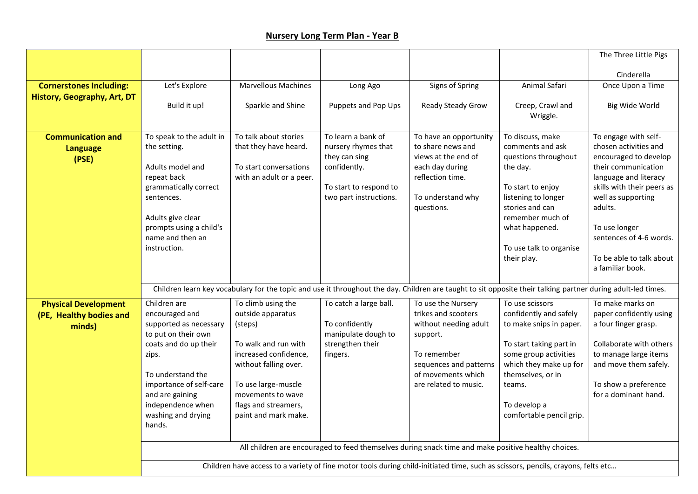|                                |                                                                                                                                  |                                              |                               |                                                                                                                                                              |                                                   | The Three Little Pigs                           |
|--------------------------------|----------------------------------------------------------------------------------------------------------------------------------|----------------------------------------------|-------------------------------|--------------------------------------------------------------------------------------------------------------------------------------------------------------|---------------------------------------------------|-------------------------------------------------|
|                                |                                                                                                                                  |                                              |                               |                                                                                                                                                              |                                                   | Cinderella                                      |
| <b>Cornerstones Including:</b> | Let's Explore                                                                                                                    | Marvellous Machines                          | Long Ago                      | Signs of Spring                                                                                                                                              | Animal Safari                                     | Once Upon a Time                                |
| History, Geography, Art, DT    | Build it up!                                                                                                                     | Sparkle and Shine                            | Puppets and Pop Ups           | Ready Steady Grow                                                                                                                                            | Creep, Crawl and<br>Wriggle.                      | Big Wide World                                  |
| <b>Communication and</b>       | To speak to the adult in                                                                                                         | To talk about stories                        | To learn a bank of            | To have an opportunity                                                                                                                                       | To discuss, make                                  | To engage with self-                            |
| <b>Language</b>                | the setting.                                                                                                                     | that they have heard.                        | nursery rhymes that           | to share news and<br>views at the end of                                                                                                                     | comments and ask                                  | chosen activities and                           |
| (PSE)                          | Adults model and                                                                                                                 | To start conversations                       | they can sing<br>confidently. | each day during                                                                                                                                              | questions throughout<br>the day.                  | encouraged to develop<br>their communication    |
|                                | repeat back                                                                                                                      | with an adult or a peer.                     |                               | reflection time.                                                                                                                                             |                                                   | language and literacy                           |
|                                | grammatically correct                                                                                                            |                                              | To start to respond to        |                                                                                                                                                              | To start to enjoy                                 | skills with their peers as                      |
|                                | sentences.                                                                                                                       |                                              | two part instructions.        | To understand why<br>questions.                                                                                                                              | listening to longer<br>stories and can            | well as supporting<br>adults.                   |
|                                | Adults give clear                                                                                                                |                                              |                               |                                                                                                                                                              | remember much of                                  |                                                 |
|                                | prompts using a child's                                                                                                          |                                              |                               |                                                                                                                                                              | what happened.                                    | To use longer                                   |
|                                | name and then an<br>instruction.                                                                                                 |                                              |                               |                                                                                                                                                              | To use talk to organise                           | sentences of 4-6 words.                         |
|                                |                                                                                                                                  |                                              |                               |                                                                                                                                                              | their play.                                       | To be able to talk about                        |
|                                |                                                                                                                                  |                                              |                               |                                                                                                                                                              |                                                   | a familiar book.                                |
|                                |                                                                                                                                  |                                              |                               | Children learn key vocabulary for the topic and use it throughout the day. Children are taught to sit opposite their talking partner during adult-led times. |                                                   |                                                 |
| <b>Physical Development</b>    | Children are                                                                                                                     | To climb using the                           | To catch a large ball.        | To use the Nursery                                                                                                                                           | To use scissors                                   | To make marks on                                |
| (PE, Healthy bodies and        | encouraged and<br>supported as necessary                                                                                         | outside apparatus                            | To confidently                | trikes and scooters<br>without needing adult                                                                                                                 | confidently and safely<br>to make snips in paper. | paper confidently using<br>a four finger grasp. |
| minds)                         | to put on their own                                                                                                              | (steps)                                      | manipulate dough to           | support.                                                                                                                                                     |                                                   |                                                 |
|                                | coats and do up their                                                                                                            | To walk and run with                         | strengthen their              |                                                                                                                                                              | To start taking part in                           | Collaborate with others                         |
|                                | zips.                                                                                                                            | increased confidence,                        | fingers.                      | To remember                                                                                                                                                  | some group activities<br>which they make up for   | to manage large items                           |
|                                | To understand the                                                                                                                | without falling over.                        |                               | sequences and patterns<br>of movements which                                                                                                                 | themselves, or in                                 | and move them safely.                           |
|                                | importance of self-care                                                                                                          | To use large-muscle                          |                               | are related to music.                                                                                                                                        | teams.                                            | To show a preference                            |
|                                | and are gaining                                                                                                                  | movements to wave                            |                               |                                                                                                                                                              |                                                   | for a dominant hand.                            |
|                                | independence when<br>washing and drying                                                                                          | flags and streamers,<br>paint and mark make. |                               |                                                                                                                                                              | To develop a<br>comfortable pencil grip.          |                                                 |
|                                | hands.                                                                                                                           |                                              |                               |                                                                                                                                                              |                                                   |                                                 |
|                                |                                                                                                                                  |                                              |                               |                                                                                                                                                              |                                                   |                                                 |
|                                |                                                                                                                                  |                                              |                               | All children are encouraged to feed themselves during snack time and make positive healthy choices.                                                          |                                                   |                                                 |
|                                | Children have access to a variety of fine motor tools during child-initiated time, such as scissors, pencils, crayons, felts etc |                                              |                               |                                                                                                                                                              |                                                   |                                                 |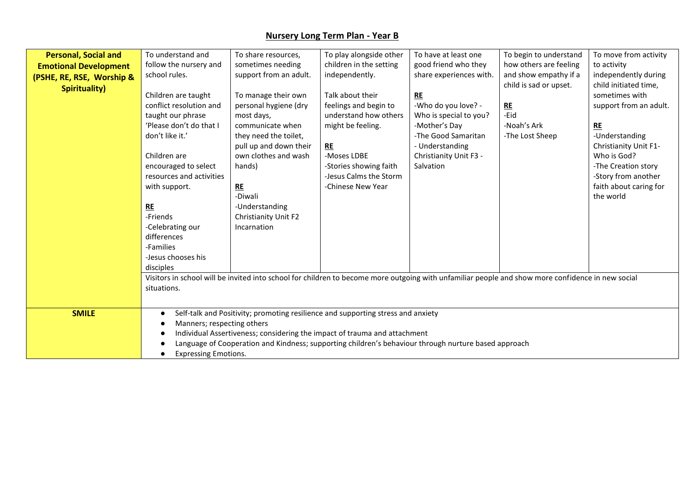| <b>Personal, Social and</b>  | To understand and           | To share resources,    | To play alongside other                                                                                                                           | To have at least one    | To begin to understand | To move from activity  |
|------------------------------|-----------------------------|------------------------|---------------------------------------------------------------------------------------------------------------------------------------------------|-------------------------|------------------------|------------------------|
| <b>Emotional Development</b> | follow the nursery and      | sometimes needing      | children in the setting                                                                                                                           | good friend who they    | how others are feeling | to activity            |
| (PSHE, RE, RSE, Worship &    | school rules.               | support from an adult. | independently.                                                                                                                                    | share experiences with. | and show empathy if a  | independently during   |
| <b>Spirituality)</b>         |                             |                        |                                                                                                                                                   |                         | child is sad or upset. | child initiated time,  |
|                              | Children are taught         | To manage their own    | Talk about their                                                                                                                                  | RE                      |                        | sometimes with         |
|                              | conflict resolution and     | personal hygiene (dry  | feelings and begin to                                                                                                                             | -Who do you love? -     | RE                     | support from an adult. |
|                              | taught our phrase           | most days,             | understand how others                                                                                                                             | Who is special to you?  | -Eid                   |                        |
|                              | 'Please don't do that I     | communicate when       | might be feeling.                                                                                                                                 | -Mother's Day           | -Noah's Ark            | RE                     |
|                              | don't like it.'             | they need the toilet,  |                                                                                                                                                   | -The Good Samaritan     | -The Lost Sheep        | -Understanding         |
|                              |                             | pull up and down their | RE                                                                                                                                                | - Understanding         |                        | Christianity Unit F1-  |
|                              | Children are                | own clothes and wash   | -Moses LDBE                                                                                                                                       | Christianity Unit F3 -  |                        | Who is God?            |
|                              | encouraged to select        | hands)                 | -Stories showing faith                                                                                                                            | Salvation               |                        | -The Creation story    |
|                              | resources and activities    |                        | -Jesus Calms the Storm                                                                                                                            |                         |                        | -Story from another    |
|                              | with support.               | RE                     | -Chinese New Year                                                                                                                                 |                         |                        | faith about caring for |
|                              |                             | -Diwali                |                                                                                                                                                   |                         |                        | the world              |
|                              | <b>RE</b>                   | -Understanding         |                                                                                                                                                   |                         |                        |                        |
|                              | -Friends                    | Christianity Unit F2   |                                                                                                                                                   |                         |                        |                        |
|                              | -Celebrating our            | Incarnation            |                                                                                                                                                   |                         |                        |                        |
|                              | differences                 |                        |                                                                                                                                                   |                         |                        |                        |
|                              | -Families                   |                        |                                                                                                                                                   |                         |                        |                        |
|                              | -Jesus chooses his          |                        |                                                                                                                                                   |                         |                        |                        |
|                              | disciples                   |                        |                                                                                                                                                   |                         |                        |                        |
|                              |                             |                        | Visitors in school will be invited into school for children to become more outgoing with unfamiliar people and show more confidence in new social |                         |                        |                        |
|                              | situations.                 |                        |                                                                                                                                                   |                         |                        |                        |
|                              |                             |                        |                                                                                                                                                   |                         |                        |                        |
|                              |                             |                        |                                                                                                                                                   |                         |                        |                        |
| <b>SMILE</b>                 |                             |                        | Self-talk and Positivity; promoting resilience and supporting stress and anxiety                                                                  |                         |                        |                        |
|                              | Manners; respecting others  |                        |                                                                                                                                                   |                         |                        |                        |
|                              |                             |                        | Individual Assertiveness; considering the impact of trauma and attachment                                                                         |                         |                        |                        |
|                              |                             |                        | Language of Cooperation and Kindness; supporting children's behaviour through nurture based approach                                              |                         |                        |                        |
|                              | <b>Expressing Emotions.</b> |                        |                                                                                                                                                   |                         |                        |                        |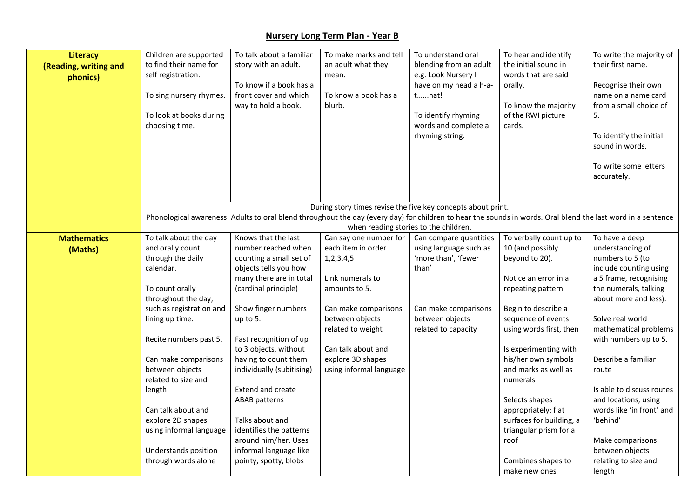| Literacy<br>(Reading, writing and<br>phonics) | Children are supported<br>to find their name for<br>self registration.<br>To sing nursery rhymes.<br>To look at books during<br>choosing time. | To talk about a familiar<br>story with an adult.<br>To know if a book has a<br>front cover and which<br>way to hold a book. | To make marks and tell<br>an adult what they<br>mean.<br>To know a book has a<br>blurb. | To understand oral<br>blending from an adult<br>e.g. Look Nursery I<br>have on my head a h-a-<br>that!<br>To identify rhyming<br>words and complete a<br>rhyming string. | To hear and identify<br>the initial sound in<br>words that are said<br>orally.<br>To know the majority<br>of the RWI picture<br>cards. | To write the majority of<br>their first name.<br>Recognise their own<br>name on a name card<br>from a small choice of<br>5.<br>To identify the initial<br>sound in words. |
|-----------------------------------------------|------------------------------------------------------------------------------------------------------------------------------------------------|-----------------------------------------------------------------------------------------------------------------------------|-----------------------------------------------------------------------------------------|--------------------------------------------------------------------------------------------------------------------------------------------------------------------------|----------------------------------------------------------------------------------------------------------------------------------------|---------------------------------------------------------------------------------------------------------------------------------------------------------------------------|
|                                               |                                                                                                                                                |                                                                                                                             |                                                                                         |                                                                                                                                                                          |                                                                                                                                        | To write some letters<br>accurately.                                                                                                                                      |
|                                               |                                                                                                                                                |                                                                                                                             |                                                                                         | During story times revise the five key concepts about print.                                                                                                             |                                                                                                                                        |                                                                                                                                                                           |
|                                               |                                                                                                                                                |                                                                                                                             |                                                                                         | Phonological awareness: Adults to oral blend throughout the day (every day) for children to hear the sounds in words. Oral blend the last word in a sentence             |                                                                                                                                        |                                                                                                                                                                           |
|                                               |                                                                                                                                                |                                                                                                                             |                                                                                         | when reading stories to the children.                                                                                                                                    |                                                                                                                                        |                                                                                                                                                                           |
| <b>Mathematics</b>                            | To talk about the day                                                                                                                          | Knows that the last                                                                                                         | Can say one number for                                                                  | Can compare quantities                                                                                                                                                   | To verbally count up to                                                                                                                | To have a deep                                                                                                                                                            |
| (Maths)                                       | and orally count                                                                                                                               | number reached when                                                                                                         | each item in order                                                                      | using language such as                                                                                                                                                   | 10 (and possibly                                                                                                                       | understanding of                                                                                                                                                          |
|                                               | through the daily                                                                                                                              | counting a small set of                                                                                                     | 1, 2, 3, 4, 5                                                                           | 'more than', 'fewer                                                                                                                                                      | beyond to 20).                                                                                                                         | numbers to 5 (to                                                                                                                                                          |
|                                               | calendar.                                                                                                                                      | objects tells you how                                                                                                       |                                                                                         | than'                                                                                                                                                                    |                                                                                                                                        | include counting using                                                                                                                                                    |
|                                               |                                                                                                                                                | many there are in total                                                                                                     | Link numerals to                                                                        |                                                                                                                                                                          | Notice an error in a                                                                                                                   | a 5 frame, recognising                                                                                                                                                    |
|                                               | To count orally                                                                                                                                | (cardinal principle)                                                                                                        | amounts to 5.                                                                           |                                                                                                                                                                          | repeating pattern                                                                                                                      | the numerals, talking                                                                                                                                                     |
|                                               | throughout the day,                                                                                                                            |                                                                                                                             |                                                                                         |                                                                                                                                                                          |                                                                                                                                        | about more and less).                                                                                                                                                     |
|                                               | such as registration and                                                                                                                       | Show finger numbers                                                                                                         | Can make comparisons                                                                    | Can make comparisons                                                                                                                                                     | Begin to describe a                                                                                                                    |                                                                                                                                                                           |
|                                               | lining up time.                                                                                                                                | up to 5.                                                                                                                    | between objects                                                                         | between objects                                                                                                                                                          | sequence of events                                                                                                                     | Solve real world                                                                                                                                                          |
|                                               |                                                                                                                                                |                                                                                                                             | related to weight                                                                       | related to capacity                                                                                                                                                      | using words first, then                                                                                                                | mathematical problems                                                                                                                                                     |
|                                               | Recite numbers past 5.                                                                                                                         | Fast recognition of up                                                                                                      | Can talk about and                                                                      |                                                                                                                                                                          |                                                                                                                                        | with numbers up to 5.                                                                                                                                                     |
|                                               | Can make comparisons                                                                                                                           | to 3 objects, without<br>having to count them                                                                               | explore 3D shapes                                                                       |                                                                                                                                                                          | Is experimenting with<br>his/her own symbols                                                                                           | Describe a familiar                                                                                                                                                       |
|                                               | between objects                                                                                                                                | individually (subitising)                                                                                                   | using informal language                                                                 |                                                                                                                                                                          | and marks as well as                                                                                                                   | route                                                                                                                                                                     |
|                                               | related to size and                                                                                                                            |                                                                                                                             |                                                                                         |                                                                                                                                                                          | numerals                                                                                                                               |                                                                                                                                                                           |
|                                               | length                                                                                                                                         | <b>Extend and create</b>                                                                                                    |                                                                                         |                                                                                                                                                                          |                                                                                                                                        | Is able to discuss routes                                                                                                                                                 |
|                                               |                                                                                                                                                | <b>ABAB</b> patterns                                                                                                        |                                                                                         |                                                                                                                                                                          | Selects shapes                                                                                                                         | and locations, using                                                                                                                                                      |
|                                               | Can talk about and                                                                                                                             |                                                                                                                             |                                                                                         |                                                                                                                                                                          | appropriately; flat                                                                                                                    | words like 'in front' and                                                                                                                                                 |
|                                               | explore 2D shapes                                                                                                                              | Talks about and                                                                                                             |                                                                                         |                                                                                                                                                                          | surfaces for building, a                                                                                                               | 'behind'                                                                                                                                                                  |
|                                               | using informal language                                                                                                                        | identifies the patterns                                                                                                     |                                                                                         |                                                                                                                                                                          | triangular prism for a                                                                                                                 |                                                                                                                                                                           |
|                                               |                                                                                                                                                | around him/her. Uses                                                                                                        |                                                                                         |                                                                                                                                                                          | roof                                                                                                                                   | Make comparisons                                                                                                                                                          |
|                                               | Understands position                                                                                                                           | informal language like                                                                                                      |                                                                                         |                                                                                                                                                                          |                                                                                                                                        | between objects                                                                                                                                                           |
|                                               | through words alone                                                                                                                            | pointy, spotty, blobs                                                                                                       |                                                                                         |                                                                                                                                                                          | Combines shapes to                                                                                                                     | relating to size and                                                                                                                                                      |
|                                               |                                                                                                                                                |                                                                                                                             |                                                                                         |                                                                                                                                                                          | make new ones                                                                                                                          | length                                                                                                                                                                    |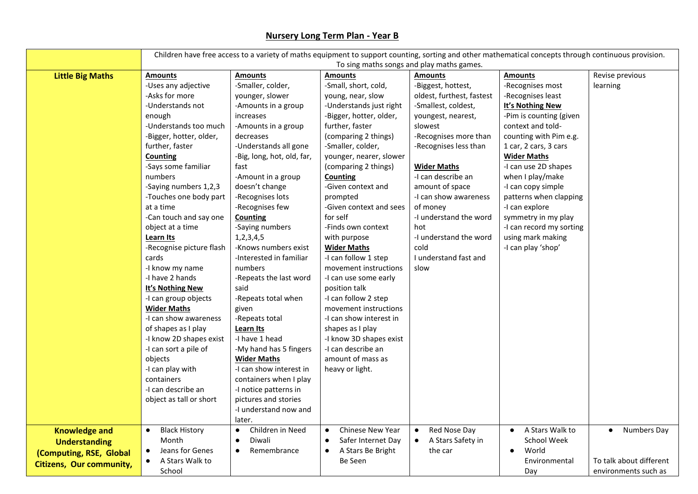|                                 | Children have free access to a variety of maths equipment to support counting, sorting and other mathematical concepts through continuous provision. |                               |                                 |                                |                          |                          |
|---------------------------------|------------------------------------------------------------------------------------------------------------------------------------------------------|-------------------------------|---------------------------------|--------------------------------|--------------------------|--------------------------|
|                                 | To sing maths songs and play maths games.                                                                                                            |                               |                                 |                                |                          |                          |
| <b>Little Big Maths</b>         | <b>Amounts</b>                                                                                                                                       | <b>Amounts</b>                | <b>Amounts</b>                  | <b>Amounts</b>                 | <b>Amounts</b>           | Revise previous          |
|                                 | -Uses any adjective                                                                                                                                  | -Smaller, colder,             | -Small, short, cold,            | -Biggest, hottest,             | -Recognises most         | learning                 |
|                                 | -Asks for more                                                                                                                                       | younger, slower               | young, near, slow               | oldest, furthest, fastest      | -Recognises least        |                          |
|                                 | -Understands not                                                                                                                                     | -Amounts in a group           | -Understands just right         | -Smallest, coldest,            | It's Nothing New         |                          |
|                                 | enough                                                                                                                                               | increases                     | -Bigger, hotter, older,         | youngest, nearest,             | -Pim is counting (given  |                          |
|                                 | -Understands too much                                                                                                                                | -Amounts in a group           | further, faster                 | slowest                        | context and told-        |                          |
|                                 | -Bigger, hotter, older,                                                                                                                              | decreases                     | (comparing 2 things)            | -Recognises more than          | counting with Pim e.g.   |                          |
|                                 | further, faster                                                                                                                                      | -Understands all gone         | -Smaller, colder,               | -Recognises less than          | 1 car, 2 cars, 3 cars    |                          |
|                                 | <b>Counting</b>                                                                                                                                      | -Big, long, hot, old, far,    | younger, nearer, slower         |                                | <b>Wider Maths</b>       |                          |
|                                 | -Says some familiar                                                                                                                                  | fast                          | (comparing 2 things)            | <b>Wider Maths</b>             | -I can use 2D shapes     |                          |
|                                 | numbers                                                                                                                                              | -Amount in a group            | <b>Counting</b>                 | -I can describe an             | when I play/make         |                          |
|                                 | -Saying numbers 1,2,3                                                                                                                                | doesn't change                | -Given context and              | amount of space                | -I can copy simple       |                          |
|                                 | -Touches one body part                                                                                                                               | -Recognises lots              | prompted                        | -I can show awareness          | patterns when clapping   |                          |
|                                 | at a time                                                                                                                                            | -Recognises few               | -Given context and sees         | of money                       | -I can explore           |                          |
|                                 | -Can touch and say one                                                                                                                               | <b>Counting</b>               | for self                        | -I understand the word         | symmetry in my play      |                          |
|                                 | object at a time                                                                                                                                     | -Saying numbers               | -Finds own context              | hot                            | -I can record my sorting |                          |
|                                 | <b>Learn Its</b>                                                                                                                                     | 1, 2, 3, 4, 5                 | with purpose                    | -I understand the word         | using mark making        |                          |
|                                 | -Recognise picture flash                                                                                                                             | -Knows numbers exist          | <b>Wider Maths</b>              | cold                           | -I can play 'shop'       |                          |
|                                 | cards                                                                                                                                                | -Interested in familiar       | -I can follow 1 step            | I understand fast and          |                          |                          |
|                                 | -I know my name                                                                                                                                      | numbers                       | movement instructions           | slow                           |                          |                          |
|                                 | -I have 2 hands                                                                                                                                      | -Repeats the last word        | -I can use some early           |                                |                          |                          |
|                                 | It's Nothing New                                                                                                                                     | said                          | position talk                   |                                |                          |                          |
|                                 | -I can group objects                                                                                                                                 | -Repeats total when           | -I can follow 2 step            |                                |                          |                          |
|                                 | <b>Wider Maths</b>                                                                                                                                   | given                         | movement instructions           |                                |                          |                          |
|                                 | -I can show awareness                                                                                                                                | -Repeats total                | -I can show interest in         |                                |                          |                          |
|                                 | of shapes as I play                                                                                                                                  | Learn Its                     | shapes as I play                |                                |                          |                          |
|                                 | -I know 2D shapes exist                                                                                                                              | -I have 1 head                | -I know 3D shapes exist         |                                |                          |                          |
|                                 | -I can sort a pile of                                                                                                                                | -My hand has 5 fingers        | -I can describe an              |                                |                          |                          |
|                                 | objects                                                                                                                                              | <b>Wider Maths</b>            | amount of mass as               |                                |                          |                          |
|                                 | -I can play with                                                                                                                                     | -I can show interest in       | heavy or light.                 |                                |                          |                          |
|                                 | containers                                                                                                                                           | containers when I play        |                                 |                                |                          |                          |
|                                 | -I can describe an                                                                                                                                   | -I notice patterns in         |                                 |                                |                          |                          |
|                                 | object as tall or short                                                                                                                              | pictures and stories          |                                 |                                |                          |                          |
|                                 |                                                                                                                                                      | -I understand now and         |                                 |                                |                          |                          |
|                                 |                                                                                                                                                      | later.                        |                                 |                                |                          |                          |
| <b>Knowledge and</b>            | <b>Black History</b><br>$\bullet$                                                                                                                    | Children in Need<br>$\bullet$ | Chinese New Year<br>$\bullet$   | Red Nose Day                   | A Stars Walk to          | Numbers Day<br>$\bullet$ |
| <b>Understanding</b>            | Month                                                                                                                                                | Diwali<br>$\bullet$           | Safer Internet Day<br>$\bullet$ | A Stars Safety in<br>$\bullet$ | School Week              |                          |
| (Computing, RSE, Global         | Jeans for Genes<br>$\bullet$                                                                                                                         | Remembrance<br>$\bullet$      | A Stars Be Bright<br>$\bullet$  | the car                        | World<br>$\bullet$       |                          |
| <b>Citizens, Our community,</b> | A Stars Walk to                                                                                                                                      |                               | Be Seen                         |                                | Environmental            | To talk about different  |
|                                 | School                                                                                                                                               |                               |                                 |                                | Day                      | environments such as     |